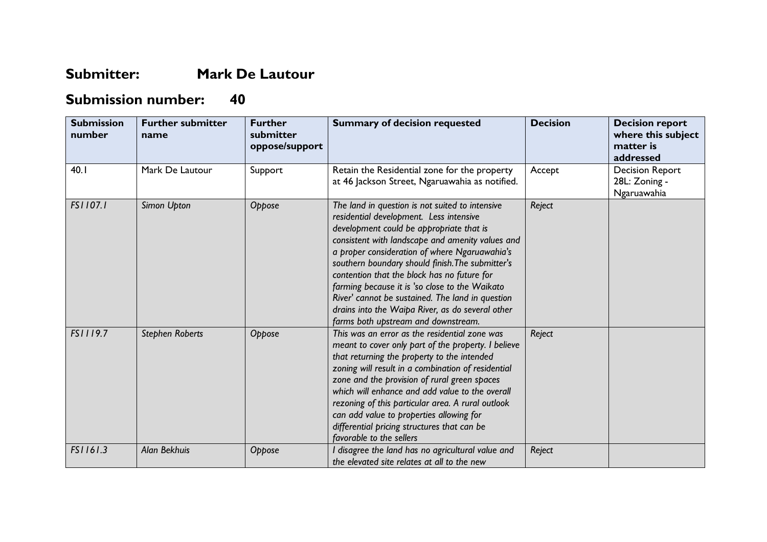## **Submitter: Mark De Lautour**

## **Submission number: 40**

| <b>Submission</b><br>number | <b>Further submitter</b><br>name | <b>Further</b><br>submitter<br>oppose/support | <b>Summary of decision requested</b>                                                                                                                                                                                                                                                                                                                                                                                                                                                                                                            | <b>Decision</b> | <b>Decision report</b><br>where this subject<br>matter is<br>addressed |
|-----------------------------|----------------------------------|-----------------------------------------------|-------------------------------------------------------------------------------------------------------------------------------------------------------------------------------------------------------------------------------------------------------------------------------------------------------------------------------------------------------------------------------------------------------------------------------------------------------------------------------------------------------------------------------------------------|-----------------|------------------------------------------------------------------------|
| 40.1                        | Mark De Lautour                  | Support                                       | Retain the Residential zone for the property<br>at 46 Jackson Street, Ngaruawahia as notified.                                                                                                                                                                                                                                                                                                                                                                                                                                                  | Accept          | <b>Decision Report</b><br>28L: Zoning -<br>Ngaruawahia                 |
| FS1107.1                    | Simon Upton                      | Oppose                                        | The land in question is not suited to intensive<br>residential development. Less intensive<br>development could be appropriate that is<br>consistent with landscape and amenity values and<br>a proper consideration of where Ngaruawahia's<br>southern boundary should finish. The submitter's<br>contention that the block has no future for<br>farming because it is 'so close to the Waikato<br>River' cannot be sustained. The land in question<br>drains into the Waipa River, as do several other<br>farms both upstream and downstream. | Reject          |                                                                        |
| FS1119.7                    | <b>Stephen Roberts</b>           | Oppose                                        | This was an error as the residential zone was<br>meant to cover only part of the property. I believe<br>that returning the property to the intended<br>zoning will result in a combination of residential<br>zone and the provision of rural green spaces<br>which will enhance and add value to the overall<br>rezoning of this particular area. A rural outlook<br>can add value to properties allowing for<br>differential pricing structures that can be<br>favorable to the sellers                                                        | Reject          |                                                                        |
| FS1161.3                    | Alan Bekhuis                     | Oppose                                        | I disagree the land has no agricultural value and<br>the elevated site relates at all to the new                                                                                                                                                                                                                                                                                                                                                                                                                                                | Reject          |                                                                        |